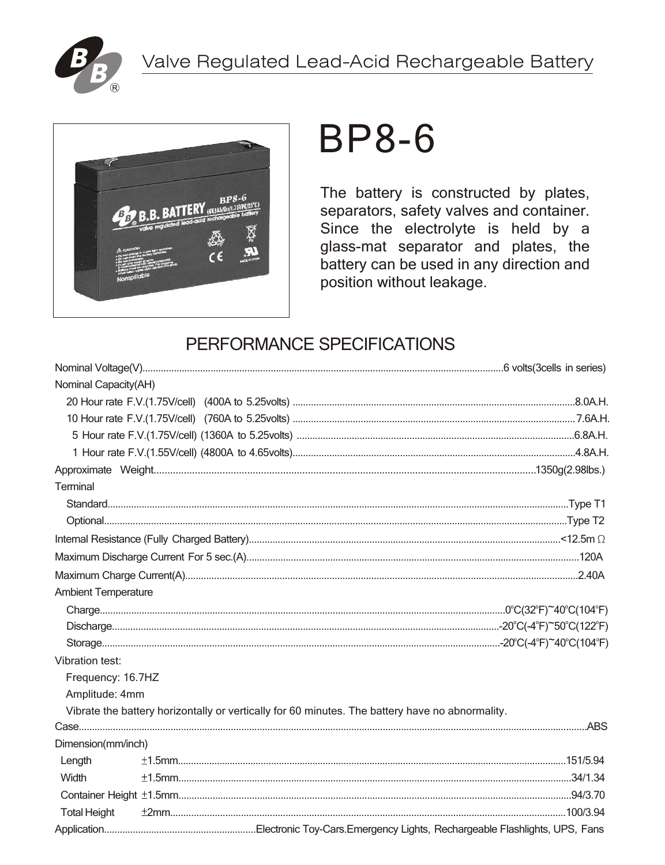



# **BP8-6**

The battery is constructed by plates, separators, safety valves and container. Since the electrolyte is held by a glass-mat separator and plates, the battery can be used in any direction and position without leakage.

### PERFORMANCE SPECIFICATIONS

| Nominal Capacity(AH)       |  |                                                                                                 |
|----------------------------|--|-------------------------------------------------------------------------------------------------|
|                            |  |                                                                                                 |
|                            |  |                                                                                                 |
|                            |  |                                                                                                 |
|                            |  |                                                                                                 |
|                            |  |                                                                                                 |
| Terminal                   |  |                                                                                                 |
|                            |  |                                                                                                 |
|                            |  |                                                                                                 |
|                            |  |                                                                                                 |
|                            |  |                                                                                                 |
|                            |  |                                                                                                 |
| <b>Ambient Temperature</b> |  |                                                                                                 |
|                            |  |                                                                                                 |
|                            |  |                                                                                                 |
|                            |  |                                                                                                 |
| Vibration test:            |  |                                                                                                 |
| Frequency: 16.7HZ          |  |                                                                                                 |
| Amplitude: 4mm             |  |                                                                                                 |
|                            |  | Vibrate the battery horizontally or vertically for 60 minutes. The battery have no abnormality. |
|                            |  |                                                                                                 |
| Dimension(mm/inch)         |  |                                                                                                 |
| Length                     |  |                                                                                                 |
| Width                      |  |                                                                                                 |
|                            |  |                                                                                                 |
| <b>Total Height</b>        |  |                                                                                                 |
|                            |  |                                                                                                 |